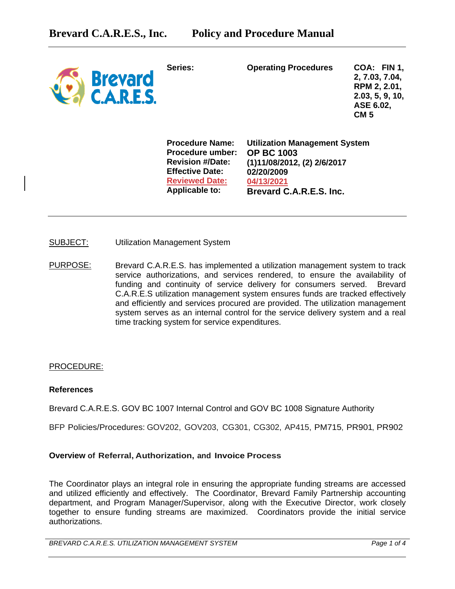| <b>Brevard</b><br><b>C.A.R.E.S.</b> | Series:                                                                                                                                           | <b>Operating Procedures</b>                                                                                                                     | COA: FIN 1,<br>2, 7.03, 7.04,<br>RPM 2, 2.01,<br>2.03, 5, 9, 10,<br>ASE 6.02,<br><b>CM 5</b> |
|-------------------------------------|---------------------------------------------------------------------------------------------------------------------------------------------------|-------------------------------------------------------------------------------------------------------------------------------------------------|----------------------------------------------------------------------------------------------|
|                                     | <b>Procedure Name:</b><br><b>Procedure umber:</b><br><b>Revision #/Date:</b><br><b>Effective Date:</b><br><b>Reviewed Date:</b><br>Applicable to: | <b>Utilization Management System</b><br><b>OP BC 1003</b><br>(1)11/08/2012, (2) 2/6/2017<br>02/20/2009<br>04/13/2021<br>Brevard C.A.R.E.S. Inc. |                                                                                              |

- SUBJECT: Utilization Management System
- PURPOSE: Brevard C.A.R.E.S. has implemented a utilization management system to track service authorizations, and services rendered, to ensure the availability of funding and continuity of service delivery for consumers served. Brevard C.A.R.E.S utilization management system ensures funds are tracked effectively and efficiently and services procured are provided. The utilization management system serves as an internal control for the service delivery system and a real time tracking system for service expenditures.

#### PROCEDURE:

#### **References**

Brevard C.A.R.E.S. GOV BC 1007 Internal Control and GOV BC 1008 Signature Authority

BFP Policies/Procedures: GOV202, GOV203, CG301, CG302, AP415, PM715, PR901, PR902

## **Overview of Referral, Authorization, and Invoice Process**

The Coordinator plays an integral role in ensuring the appropriate funding streams are accessed and utilized efficiently and effectively. The Coordinator, Brevard Family Partnership accounting department, and Program Manager/Supervisor, along with the Executive Director, work closely together to ensure funding streams are maximized. Coordinators provide the initial service authorizations.

*BREVARD C.A.R.E.S. UTILIZATION MANAGEMENT SYSTEM Page 1 of 4*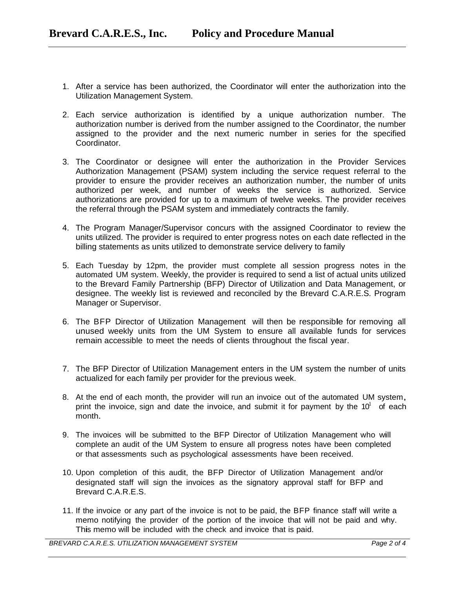- 1. After a service has been authorized, the Coordinator will enter the authorization into the Utilization Management System.
- 2. Each service authorization is identified by a unique authorization number. The authorization number is derived from the number assigned to the Coordinator, the number assigned to the provider and the next numeric number in series for the specified Coordinator.
- 3. The Coordinator or designee will enter the authorization in the Provider Services Authorization Management (PSAM) system including the service request referral to the provider to ensure the provider receives an authorization number, the number of units authorized per week, and number of weeks the service is authorized. Service authorizations are provided for up to a maximum of twelve weeks. The provider receives the referral through the PSAM system and immediately contracts the family.
- 4. The Program Manager/Supervisor concurs with the assigned Coordinator to review the units utilized. The provider is required to enter progress notes on each date reflected in the billing statements as units utilized to demonstrate service delivery to family
- 5. Each Tuesday by 12pm, the provider must complete all session progress notes in the automated UM system. Weekly, the provider is required to send a list of actual units utilized to the Brevard Family Partnership (BFP) Director of Utilization and Data Management, or designee. The weekly list is reviewed and reconciled by the Brevard C.A.R.E.S. Program Manager or Supervisor.
- 6. The BFP Director of Utilization Management will then be responsible for removing all unused weekly units from the UM System to ensure all available funds for services remain accessible to meet the needs of clients throughout the fiscal year.
- 7. The BFP Director of Utilization Management enters in the UM system the number of units actualized for each family per provider for the previous week.
- 8. At the end of each month, the provider will run an invoice out of the automated UM system, print the invoice, sign and date the invoice, and submit it for payment by the  $10<sup>1</sup>$  of each month.
- 9. The invoices will be submitted to the BFP Director of Utilization Management who will complete an audit of the UM System to ensure all progress notes have been completed or that assessments such as psychological assessments have been received.
- 10. Upon completion of this audit, the BFP Director of Utilization Management and/or designated staff will sign the invoices as the signatory approval staff for BFP and Brevard C.A.R.E.S.
- 11. If the invoice or any part of the invoice is not to be paid, the BFP finance staff will write a memo notifying the provider of the portion of the invoice that will not be paid and why. This memo will be included with the check and invoice that is paid.

*BREVARD C.A.R.E.S. UTILIZATION MANAGEMENT SYSTEM Page 2 of 4*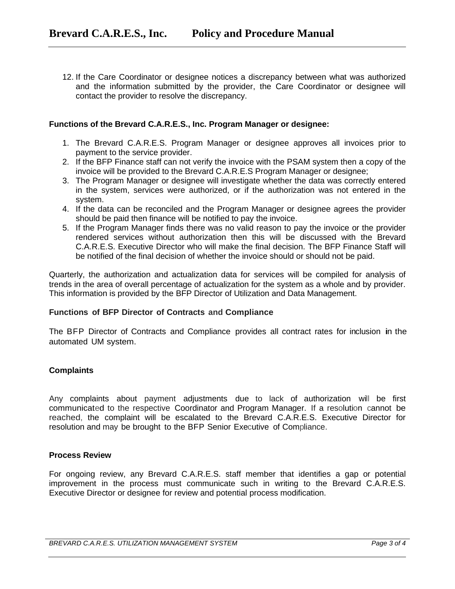12. If the Care Coordinator or designee notices a discrepancy between what was authorized and the information submitted by the provider, the Care Coordinator or designee will contact the provider to resolve the discrepancy.

### **Functions of the Brevard C.A.R.E.S., Inc. Program Manager or designee:**

- 1. The Brevard C.A.R.E.S. Program Manager or designee approves all invoices prior to payment to the service provider.
- 2. If the BFP Finance staff can not verify the invoice with the PSAM system then a copy of the invoice will be provided to the Brevard C.A.R.E.S Program Manager or designee;
- 3. The Program Manager or designee will investigate whether the data was correctly entered in the system, services were authorized, or if the authorization was not entered in the system.
- 4. If the data can be reconciled and the Program Manager or designee agrees the provider should be paid then finance will be notified to pay the invoice.
- 5. If the Program Manager finds there was no valid reason to pay the invoice or the provider rendered services without authorization then this will be discussed with the Brevard C.A.R.E.S. Executive Director who will make the final decision. The BFP Finance Staff will be notified of the final decision of whether the invoice should or should not be paid.

Quarterly, the authorization and actualization data for services will be compiled for analysis of trends in the area of overall percentage of actualization for the system as a whole and by provider. This information is provided by the BFP Director of Utilization and Data Management.

### **Functions of BFP Director of Contracts and Compliance**

The BFP Director of Contracts and Compliance provides all contract rates for inclusion in the automated UM system.

# **Complaints**

Any complaints about payment adjustments due to lack of authorization will be first communicated to the respective Coordinator and Program Manager. If a resolution cannot be reached, the complaint will be escalated to the Brevard C.A.R.E.S. Executive Director for resolution and may be brought to the BFP Senior Executive of Compliance.

## **Process Review**

For ongoing review, any Brevard C.A.R.E.S. staff member that identifies a gap or potential improvement in the process must communicate such in writing to the Brevard C.A.R.E.S. Executive Director or designee for review and potential process modification.